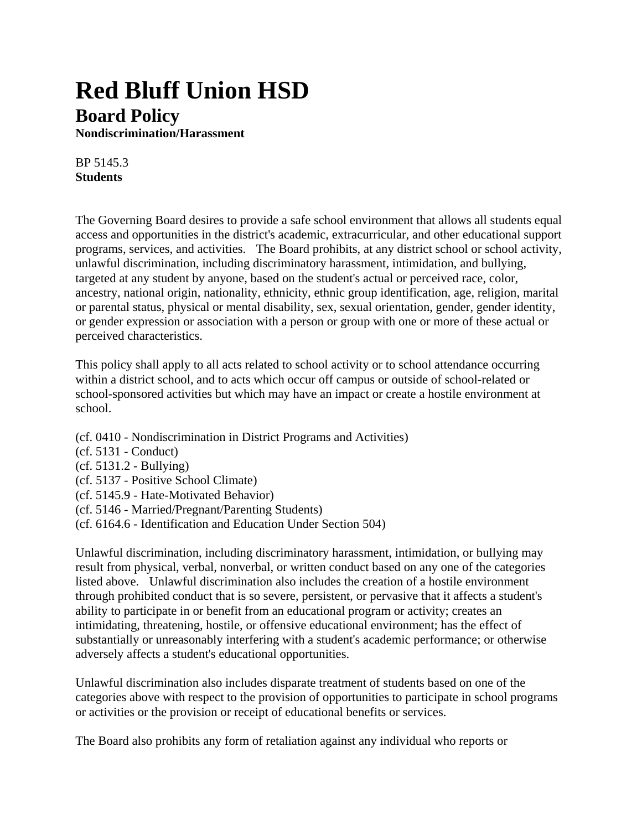## **Red Bluff Union HSD Board Policy**

**Nondiscrimination/Harassment**

BP 5145.3 **Students**

The Governing Board desires to provide a safe school environment that allows all students equal access and opportunities in the district's academic, extracurricular, and other educational support programs, services, and activities. The Board prohibits, at any district school or school activity, unlawful discrimination, including discriminatory harassment, intimidation, and bullying, targeted at any student by anyone, based on the student's actual or perceived race, color, ancestry, national origin, nationality, ethnicity, ethnic group identification, age, religion, marital or parental status, physical or mental disability, sex, sexual orientation, gender, gender identity, or gender expression or association with a person or group with one or more of these actual or perceived characteristics.

This policy shall apply to all acts related to school activity or to school attendance occurring within a district school, and to acts which occur off campus or outside of school-related or school-sponsored activities but which may have an impact or create a hostile environment at school.

(cf. 0410 - Nondiscrimination in District Programs and Activities) (cf. 5131 - Conduct) (cf. 5131.2 - Bullying) (cf. 5137 - Positive School Climate) (cf. 5145.9 - Hate-Motivated Behavior) (cf. 5146 - Married/Pregnant/Parenting Students) (cf. 6164.6 - Identification and Education Under Section 504)

Unlawful discrimination, including discriminatory harassment, intimidation, or bullying may result from physical, verbal, nonverbal, or written conduct based on any one of the categories listed above. Unlawful discrimination also includes the creation of a hostile environment through prohibited conduct that is so severe, persistent, or pervasive that it affects a student's ability to participate in or benefit from an educational program or activity; creates an intimidating, threatening, hostile, or offensive educational environment; has the effect of substantially or unreasonably interfering with a student's academic performance; or otherwise adversely affects a student's educational opportunities.

Unlawful discrimination also includes disparate treatment of students based on one of the categories above with respect to the provision of opportunities to participate in school programs or activities or the provision or receipt of educational benefits or services.

The Board also prohibits any form of retaliation against any individual who reports or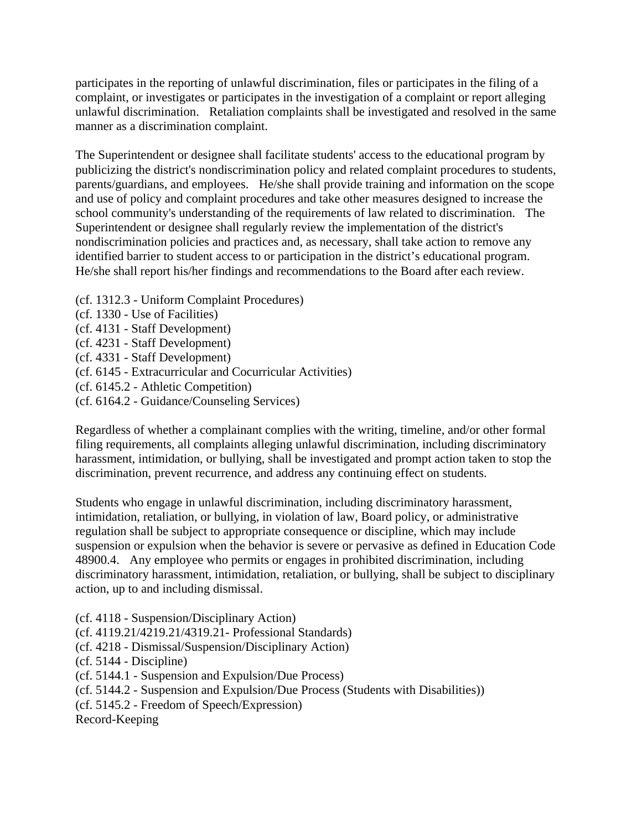participates in the reporting of unlawful discrimination, files or participates in the filing of a complaint, or investigates or participates in the investigation of a complaint or report alleging unlawful discrimination. Retaliation complaints shall be investigated and resolved in the same manner as a discrimination complaint.

The Superintendent or designee shall facilitate students' access to the educational program by publicizing the district's nondiscrimination policy and related complaint procedures to students, parents/guardians, and employees. He/she shall provide training and information on the scope and use of policy and complaint procedures and take other measures designed to increase the school community's understanding of the requirements of law related to discrimination. The Superintendent or designee shall regularly review the implementation of the district's nondiscrimination policies and practices and, as necessary, shall take action to remove any identified barrier to student access to or participation in the district's educational program. He/she shall report his/her findings and recommendations to the Board after each review.

- (cf. 1312.3 Uniform Complaint Procedures)
- (cf. 1330 Use of Facilities)
- (cf. 4131 Staff Development)
- (cf. 4231 Staff Development)
- (cf. 4331 Staff Development)
- (cf. 6145 Extracurricular and Cocurricular Activities)
- (cf. 6145.2 Athletic Competition)
- (cf. 6164.2 Guidance/Counseling Services)

Regardless of whether a complainant complies with the writing, timeline, and/or other formal filing requirements, all complaints alleging unlawful discrimination, including discriminatory harassment, intimidation, or bullying, shall be investigated and prompt action taken to stop the discrimination, prevent recurrence, and address any continuing effect on students.

Students who engage in unlawful discrimination, including discriminatory harassment, intimidation, retaliation, or bullying, in violation of law, Board policy, or administrative regulation shall be subject to appropriate consequence or discipline, which may include suspension or expulsion when the behavior is severe or pervasive as defined in Education Code 48900.4. Any employee who permits or engages in prohibited discrimination, including discriminatory harassment, intimidation, retaliation, or bullying, shall be subject to disciplinary action, up to and including dismissal.

(cf. 4118 - Suspension/Disciplinary Action)

- (cf. 4119.21/4219.21/4319.21- Professional Standards) (cf. 4218 - Dismissal/Suspension/Disciplinary Action)
- (cf. 5144 Discipline)
- (cf. 5144.1 Suspension and Expulsion/Due Process)
- (cf. 5144.2 Suspension and Expulsion/Due Process (Students with Disabilities))
- (cf. 5145.2 Freedom of Speech/Expression)

Record-Keeping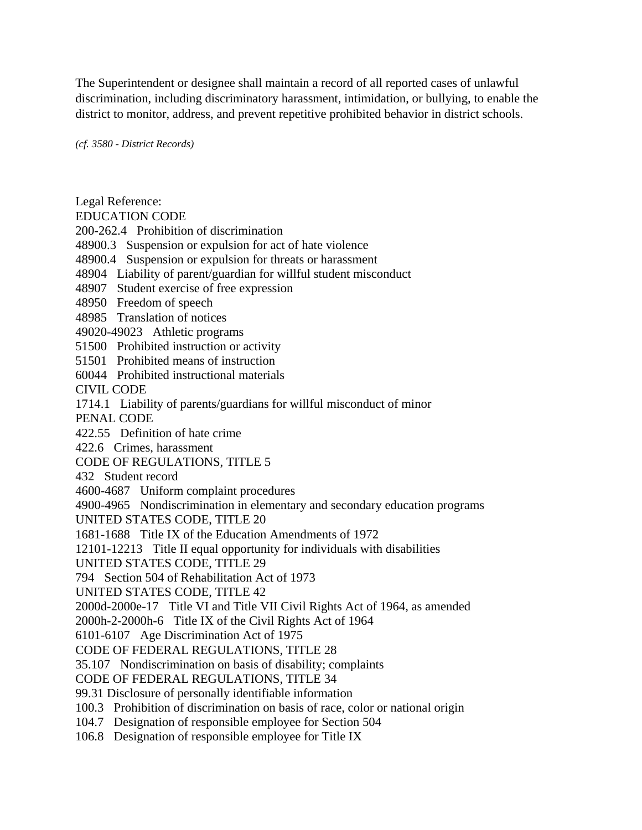The Superintendent or designee shall maintain a record of all reported cases of unlawful discrimination, including discriminatory harassment, intimidation, or bullying, to enable the district to monitor, address, and prevent repetitive prohibited behavior in district schools.

*(cf. 3580 - District Records)* 

Legal Reference:

EDUCATION CODE

200-262.4 Prohibition of discrimination

48900.3 Suspension or expulsion for act of hate violence

48900.4 Suspension or expulsion for threats or harassment

- 48904 Liability of parent/guardian for willful student misconduct
- 48907 Student exercise of free expression

48950 Freedom of speech

48985 Translation of notices

49020-49023 Athletic programs

51500 Prohibited instruction or activity

51501 Prohibited means of instruction

60044 Prohibited instructional materials

CIVIL CODE

1714.1 Liability of parents/guardians for willful misconduct of minor

PENAL CODE

422.55 Definition of hate crime

422.6 Crimes, harassment

CODE OF REGULATIONS, TITLE 5

432 Student record

4600-4687 Uniform complaint procedures

4900-4965 Nondiscrimination in elementary and secondary education programs

UNITED STATES CODE, TITLE 20

1681-1688 Title IX of the Education Amendments of 1972

12101-12213 Title II equal opportunity for individuals with disabilities

UNITED STATES CODE, TITLE 29

794 Section 504 of Rehabilitation Act of 1973

UNITED STATES CODE, TITLE 42

2000d-2000e-17 Title VI and Title VII Civil Rights Act of 1964, as amended

2000h-2-2000h-6 Title IX of the Civil Rights Act of 1964

6101-6107 Age Discrimination Act of 1975

CODE OF FEDERAL REGULATIONS, TITLE 28

35.107 Nondiscrimination on basis of disability; complaints

CODE OF FEDERAL REGULATIONS, TITLE 34

99.31 Disclosure of personally identifiable information

- 100.3 Prohibition of discrimination on basis of race, color or national origin
- 104.7 Designation of responsible employee for Section 504
- 106.8 Designation of responsible employee for Title IX